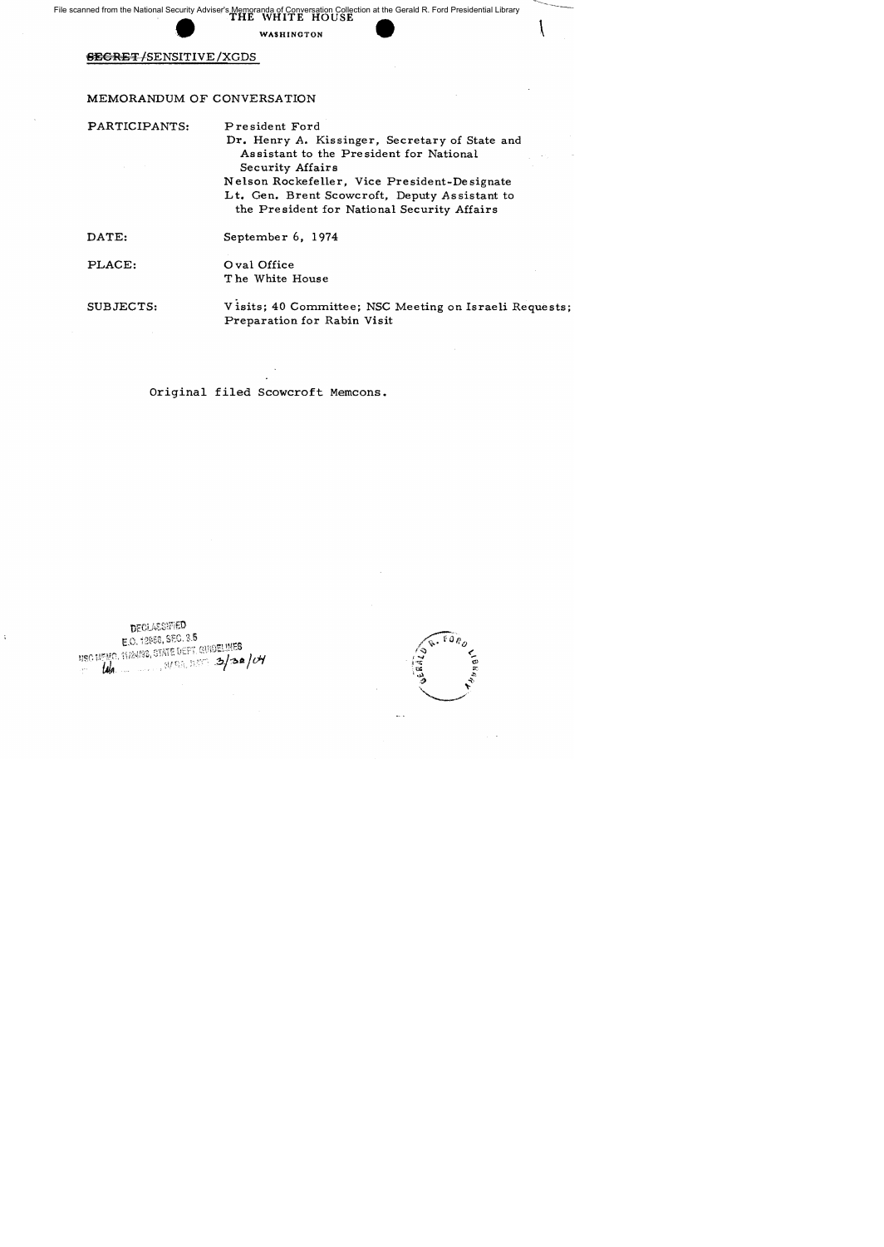File scanned from the National Security Adviser's Memoranda of Conversation Collection at the Gerald R. Ford Presidential Library **FIND Adviser's Memoranda of Conversation Collection THE WHITE HOUSE**<br>
WASHINGTON<br>
SITIVE/XGDS

# WASHINGTON

## SECRET /SENSITIVE /XGDS

## MEMORANDUM OF CONVERSATION

PARTICIPANTS: President Ford

Dr. Henry A. Kissinger, Secretary of State and As sistant to the Pre sident for National Security Affairs Nelson Rockefeller, Vice President-Designate Lt. Gen. Brent Scowcroft, Deputy Assistant to the President for National Security Affairs

 $\left\vert \right\rangle$ 

DATE:

September 6, 1974

PLACE:

o val Office The White House

SUBJECTS: Visits; 40 Committee; NSC Meeting on Israeli Requests; Preparation for Rabin Visit

Original filed Scowcroft Memcons.

**DECLASSIFIED** E.O. 12958, SEC. 3.5 USC MENO. 11/24/88, STATE DEPT. GUIDELINES **104 3/30 MAGAZINA** 

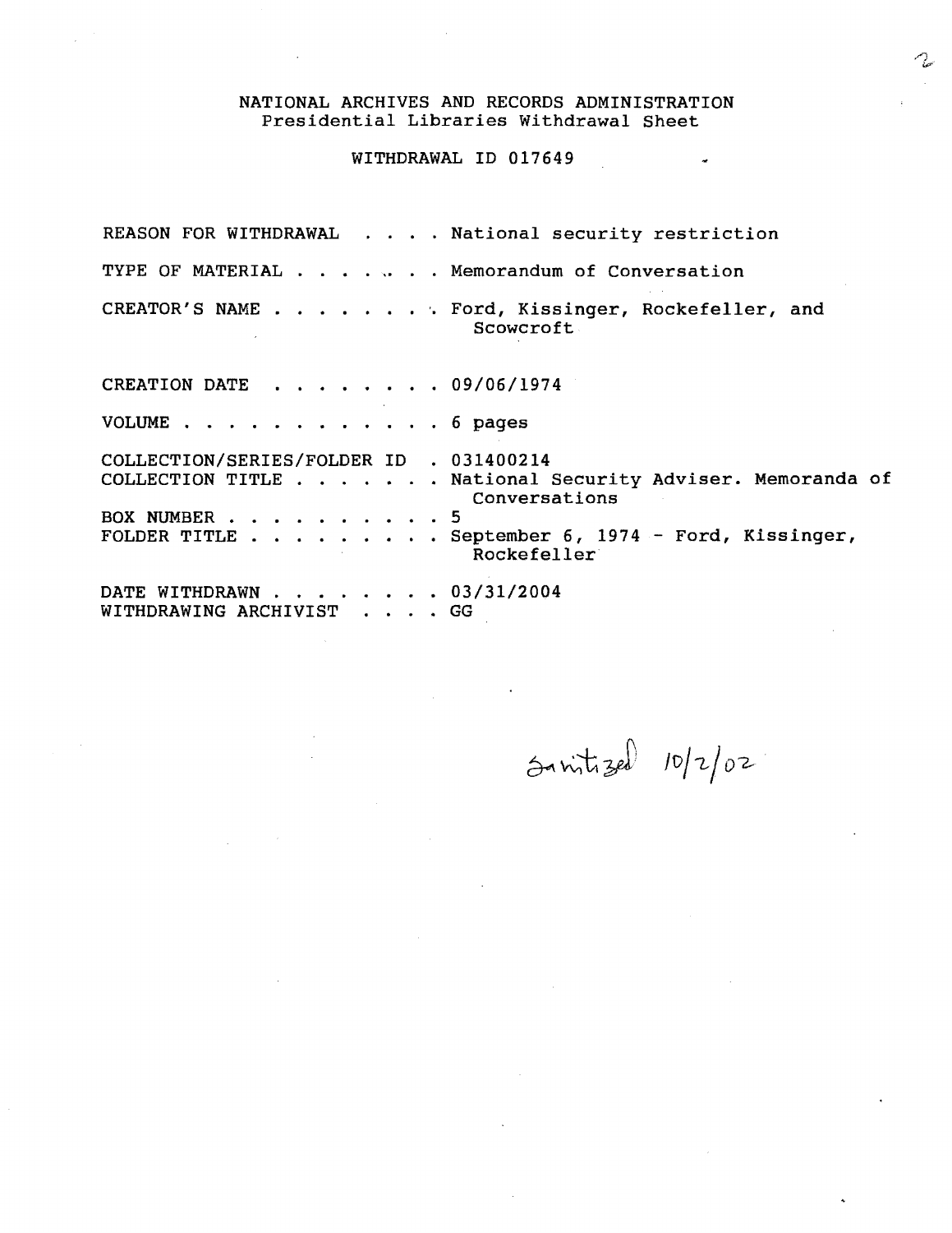## NATIONAL ARCHIVES AND RECORDS ADMINISTRATION Presidential Libraries Withdrawal Sheet

## WITHDRAWAL ID 017649

REASON FOR WITHDRAWAL . . . . National security restriction TYPE OF MATERIAL . . . . . . Memorandum of Conversation CREATOR'S NAME . Ford, *Kissinger,* Rockefeller, and CREATION DATE .. 09/06/1974 Scowcroft

VOLUME . . . . . . . . . . . . 6 pages COLLECTION/SERIES/FOLDER ID . 031400214 COLLECTION TITLE . . . . . . National Security Adviser. Memoranda of Conversations · 5 . . September 6, 1974 - Ford, Kissinger, BOX NUMBER . . FOLDER TITLE  $\overline{a}$ Rockefeller DATE WITHDRAWN . . . . . . . 03/31/2004 WITHDRAWING ARCHIVIST . . . . GG

 $5$  mitized  $10/2/02$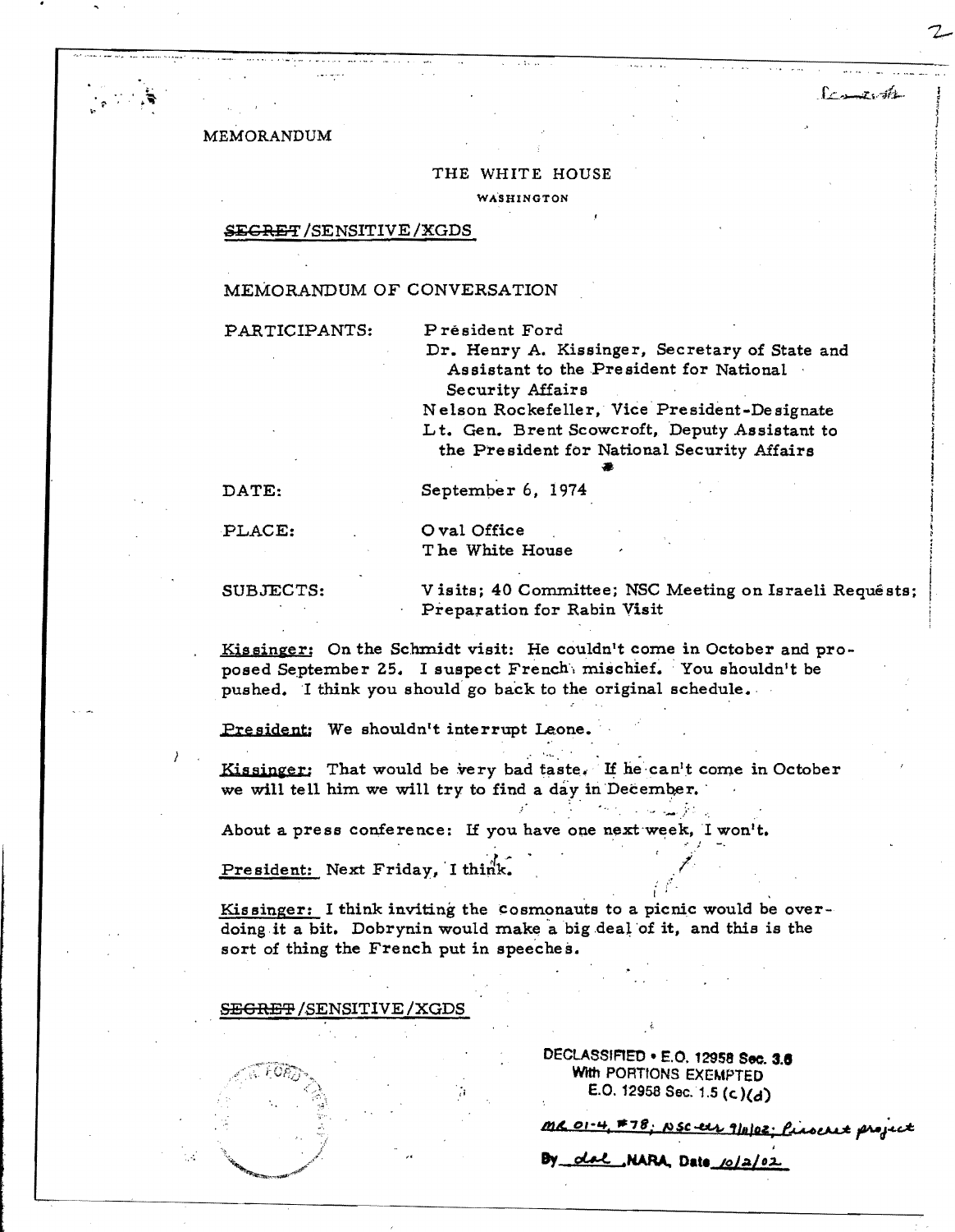### MEMORANDUM

#### THE WHITE HOUSE

WASHINGTON

#### **SEGRET/SENSITIVE/XGDS**

## MEMORANDUM OF CONVERSATION

PARTICIPANTS:

Président Ford

Dr. Henry A. Kissinger, Secretary of State and Assistant to the President for National Security Affairs

Economists

Nelson Rockefeller, Vice President-Designate Lt. Gen. Brent Scowcroft, Deputy Assistant to the President for National Security Affairs

DATE:

September 6, 1974

PLACE:

O val Office The White House

SUBJECTS:

Visits; 40 Committee; NSC Meeting on Israeli Requêsts; Preparation for Rabin Visit

Kissinger: On the Schmidt visit: He couldn't come in October and proposed September 25. I suspect French mischief. You shouldn't be pushed. I think you should go back to the original schedule.

President: We shouldn't interrupt Leone.

Kissinger: That would be very bad taste. If he can't come in October we will tell him we will try to find a day in December.

About a press conference: If you have one next week, I won't.

President: Next Friday, I think.

Kissinger: I think inviting the cosmonauts to a picnic would be overdoing it a bit. Dobrynin would make a big deal of it, and this is the sort of thing the French put in speeches.

SEGRET/SENSITIVE/XGDS

DECLASSIFIED . E.O. 12958 Sec. 3.6 With PORTIONS EXEMPTED E.O. 12958 Sec. 1.5 (c)(d)

MR 01-4, #78; NSC-ELL 9/11/02; Prochet project

By dal NARA, Date 10/2/02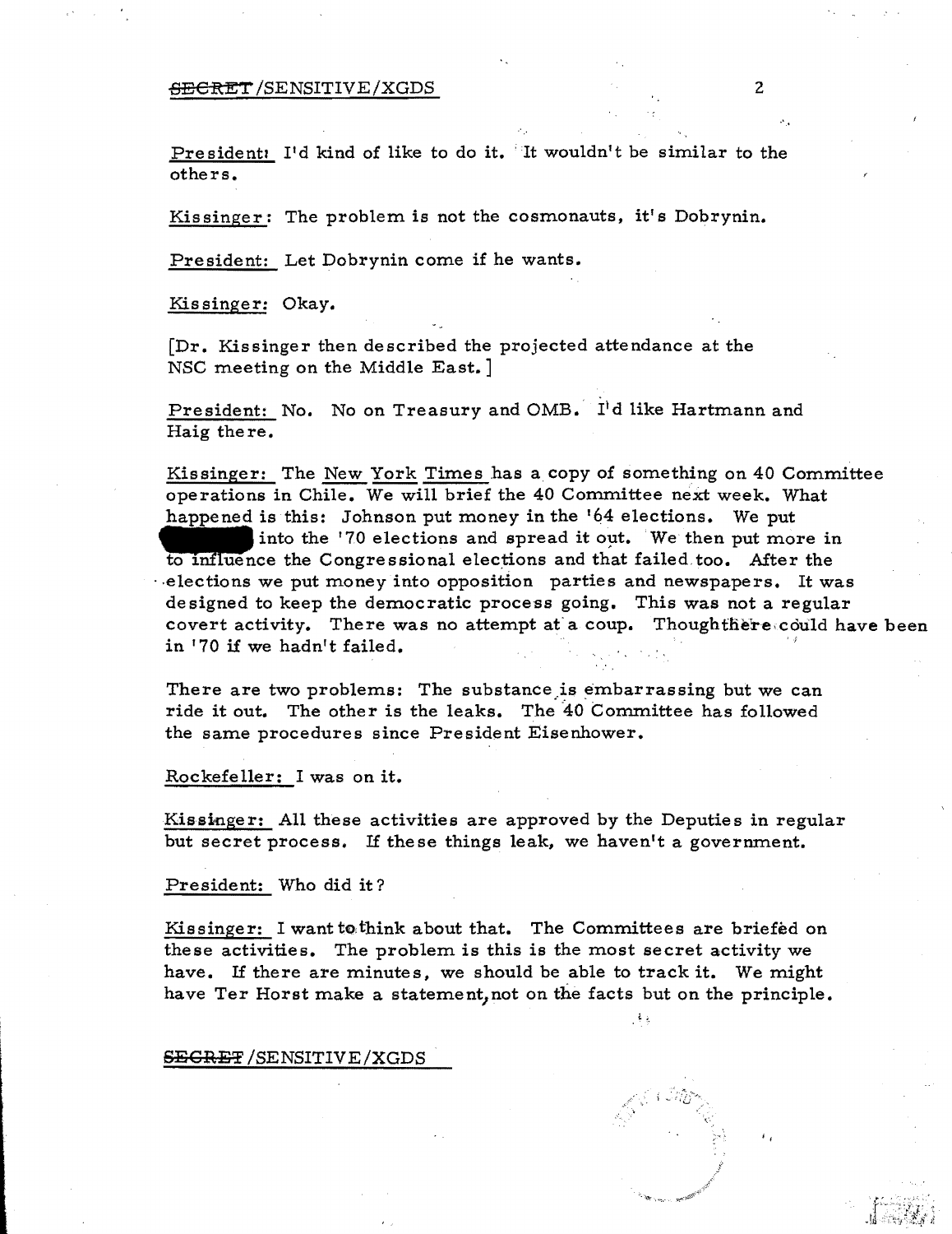## $\overline{\text{EBERT}}$  /SENSITIVE /XGDS 2

President: I'd kind of like to do it. It wouldn't be similar to the others.

Kissinger: The problem is not the cosmonauts, it's Dobrynin.

President: Let Dobrynin come if he wants.

Kis singer: Okay.

[Dr. Kissinger then described the projected attendance at the NSC meeting on the Middle East. ]

President: No. No on Treasury and OMB. I'd like Hartmann and Haig there.

Kissinger: The New York Times has a copy of something on 40 Committee operations in Chile. We will brief the 40 Committee next week. What happened is this: Johnson put money in the '64 elections. We put

into the '70 elections and spread it out. We then put more in to influence the Congressional elections and that failed too. After the .. elections we put money into opposition parties and newspapers. It was designed to keep the democratic process going. This was not a regular covert activity. There was no attempt at a coup. Thoughthere could have been **in '70 if we hadn't failed.** 'f

There are two problems: The substance is embarrassing but we can ride it out. The other is the leaks. The 40 Committee has followed the same procedures since President Eisenhower.

Rockefeller: I was on it.

Kissinger: All these activities are approved by the Deputies in regular but secret process. If these things leak, we haven't a govermnent.

President: Who did it?

Kissinger: I want to think about that. The Committees are briefed on these activities. The problem is this is the most secret activity we have. If there are minutes, we should be able to track it. We might have Ter Horst make a statement, not on the facts but on the principle.

SECRET / SENSITIVE / XGDS

 $^{\prime}$ 

 $\mathcal{A}$  ).

....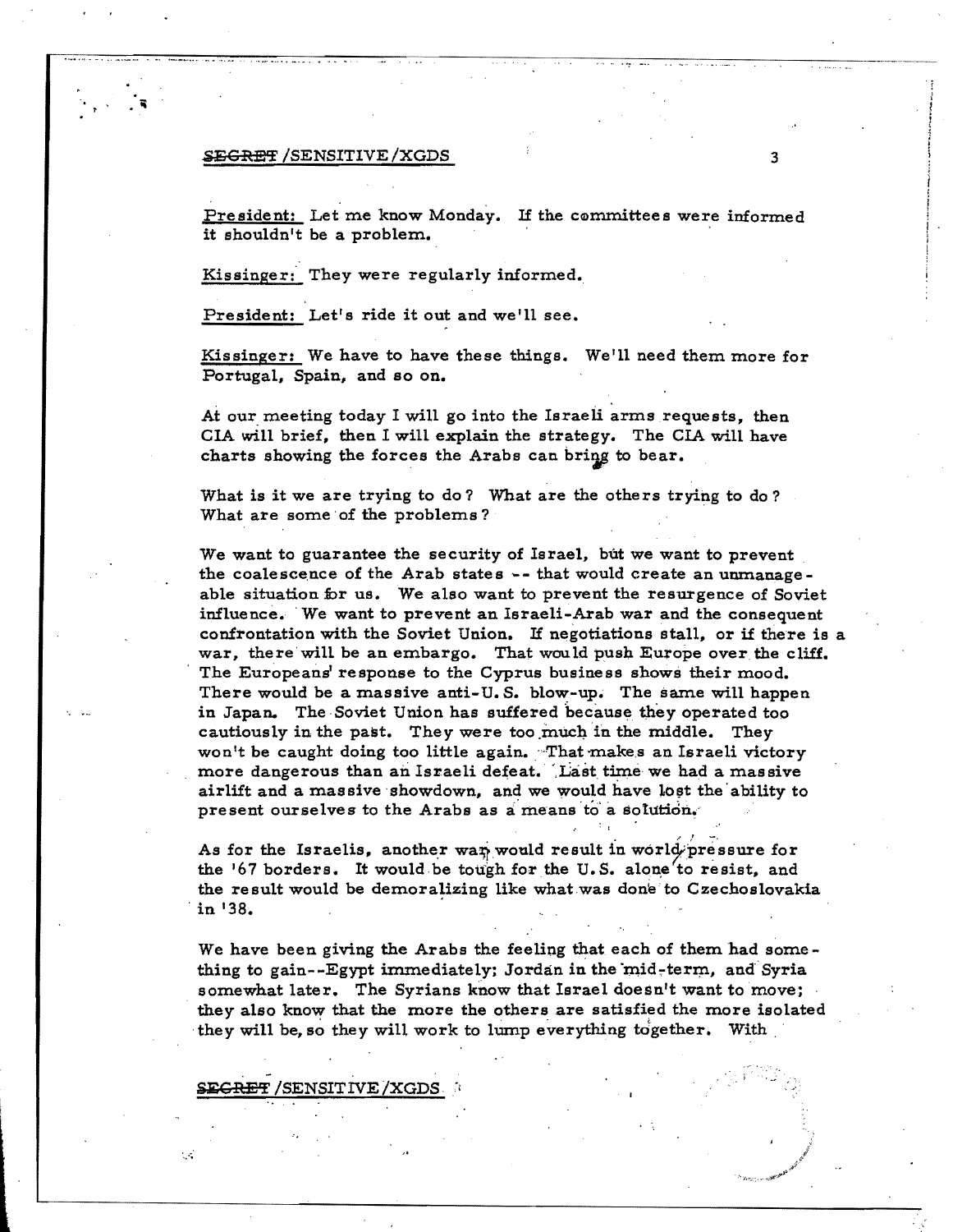#### **SEGRET** /SENSITIVE/XGDS 3

'.

President: Let me know Monday. If the committees were informed it shouldn't be a problem.

Kissinger: They were regularly informed.

President: Let's ride it out and we'll see.

Kissinger: We have to have these things. We'll need them more for Portugal, Spain, and so on.

At our meeting today I will go into the Israeli arms requests, then CIA will brief, then I will explain the strategy. The CIA will have charts showing the forces the Arabs can bring to bear.

What is it we are trying to do? What are the others trying to do? What are some of the problems?

We want to guarantee the security of Israel, but we want to prevent the coalescence of the Arab states  $-$ - that would create an unmanageable situation for us. We also want to prevent the resurgence of Soviet influence. 'We want to prevent an Israeli-Arab war and the consequent confrontation with the Soviet Union. If negotiations stall, or if there is a war, there will be an embargo. That would push Europe over the cliff. The Europeans' response to the Cyprus business shows their mood. There would be a massive anti-U.S. blow-up. The same will happen in Japan. The Soviet Union has suffered because they operated too cautiously in the past. They were too much in the middle. They won't be caught doing too little again. That makes an Israeli victory more dangerous than an Israeli defeat. Last time we had a massive airlift and a massive showdown, and we would have lost the ability to present ourselves to the Arabs as a means to a solution.

As for the Israelis, another wan would result in world pressure for the  $167$  borders. It would be tough for the U.S. alone' to resist, and the result would be demoralizing like what was done to Czechoslovakia , in '38.

We have been giving the Arabs the feeling that each of them had something to gain--Egypt immediately; Jordan in the mid-term, and Syria somewhat later. The Syrians know that Israel doesn't want to move; they also know that the more the others are satisfied the more isolated they will be, so they will work to lump everything together. With

**SEGRET /SENSIT IVE /XGDS** 

 $\cdot$  .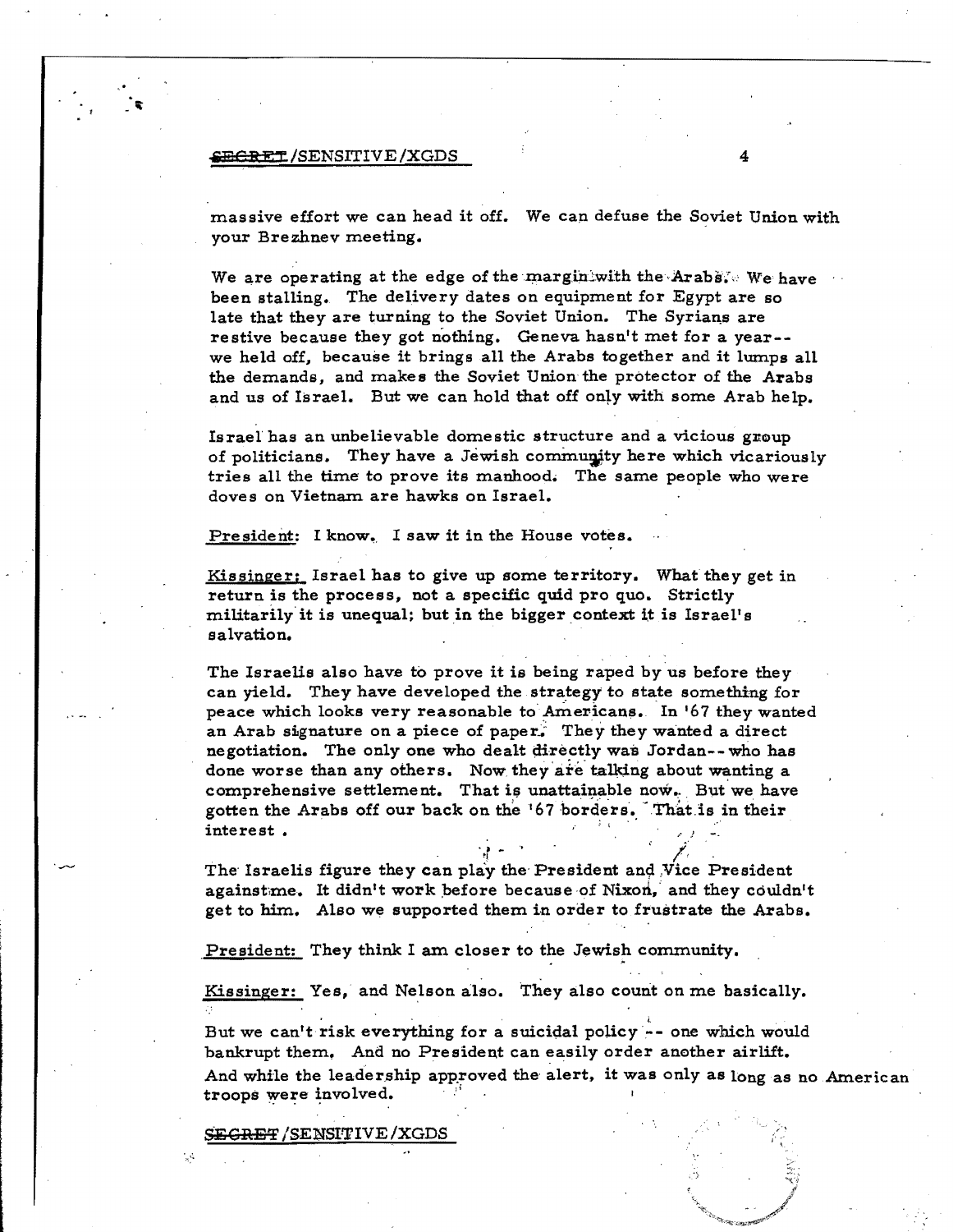#### $\overline{\text{SEERET}}$ /SENSITIVE/XGDS 4

massive effort we can head it off. We cap defuse the Soviet Union with your Brezhnev meeting.

We are operating at the edge of the margin with the Arabs. We have been stalling. The delivery dates on equipment for Egypt are so late that they are turning to the Soviet Union. The Syrians are restive because they got nothing. Geneva hasn't met for a year- we held off. because it brings all the Arabs together and it lumps all the demands. and makes the Soviet Union the protector of the Arabs and us of Israel. But we can hold that off only with some Arab help.

Israel has an unbelievable domestic structure and a vicious group of politicians. They have a Jewish community here which vicariously tries all the time to prove its manhood. The same people who were doves on Vietnam are hawks on Israel.

President: I know. I saw it in the House votes.

Kissinger; Israel has to give up some territory. What they get in return is the process, not a specific quid pro quo. Strictly militarily it is unequal; but in the bigger context it is Israel's salvation.

ه العامل والعامل العامل التي تعامل

The Israelis also have to prove it is being raped by us before they can yield. They have developed the strategy to state something for peace which looks very reasonable to Americans. In '67 they wanted an Arab signature on a piece of paper. They they wanted a direct negotiation. The only one who dealt directly was Jordan--who has done worse than any others. Now they are talking about wanting a comprehensive settlement. That is unattainable now. But we have gotten the Arabs off our back on the '67 borders. That is in their interest.

The Israelis figure they can play the President and Vice President againstme. It didn't work before because of Nixon, and they couldn't get to him. Also we supported them in order to frustrate the Arabs.

President: They think I am closer to the Jewish community.

Kissinger: Yes, and Nelson also. They also count on me basically.

But we can't risk everything for a suicidal policy -- one which would bankrupt them, And no President can easily order another airlift. And while the leadership approved the alert, it was only as long as no American troops were involved.

SEGRET / SENSITIVE / XGDS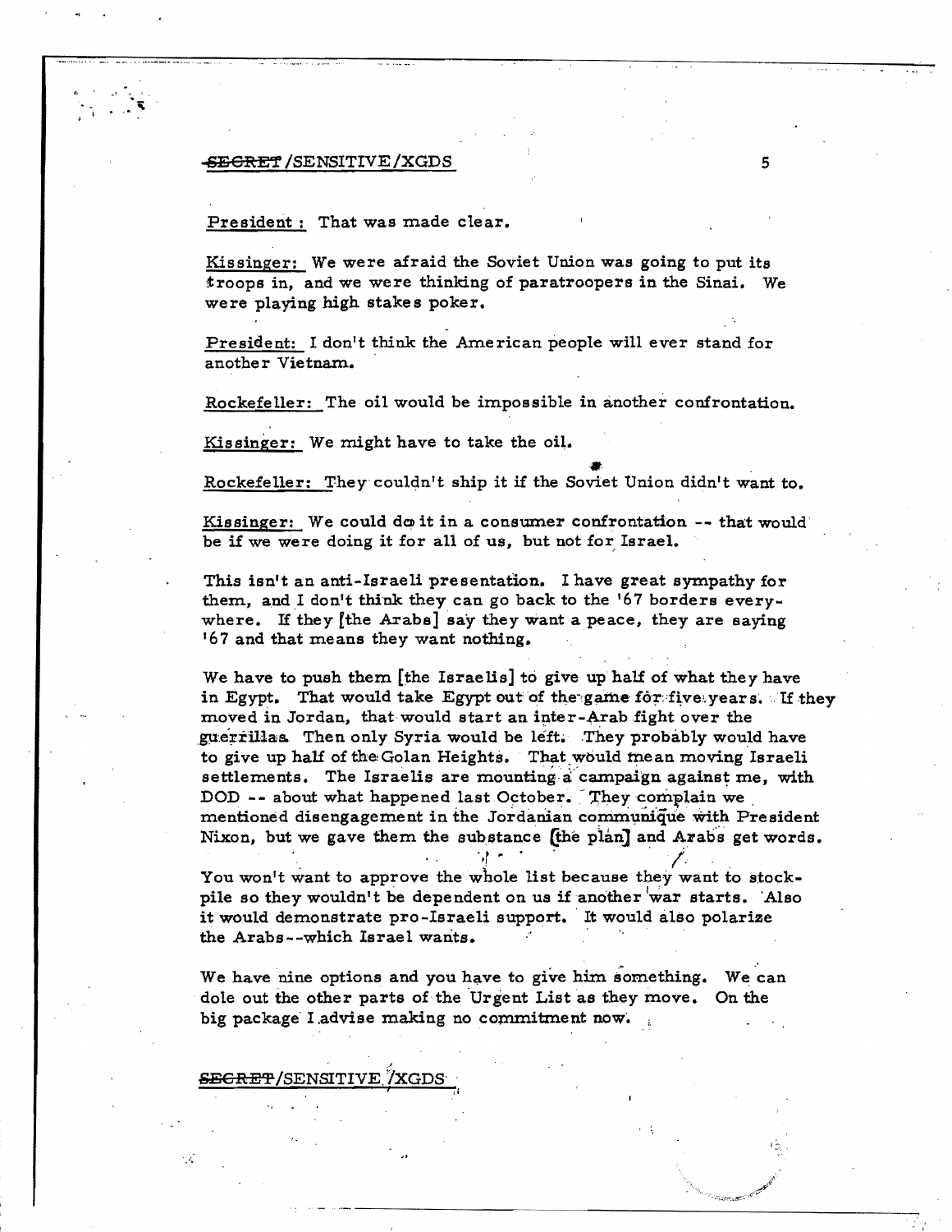#### **SECRET /SENSITIVE /XGDS**

#### President: That was made clear.

Kissinger: We were afraid the Soviet Union was going to put its troops in, and we were thinking of paratroopers in the Sinai. We were playing high stakes poker.

President: I don't think the American people will ever stand for another Vietnam.

Rockefeller: The oil would be impossible in another confrontation.

Kissinger: We might have to take the oil.

Rockefeller: They couldn't ship it if the Soviet Union didn't want to.

Kissinger: We could do it in a consumer confrontation -- that would be if we were doing it for all of us, but not for Israel.

This isn't an anti-Israeli presentation. I have great sympathy for them, and I don't think they can go back to the '67 borders everywhere. If they [the Arabs] say they want a peace, they are saying '67 and that means they want nothing.

We have to push them [the Israelis] to give up half of what they have in Egypt. That would take Egypt out of the game for five years. If they moved in Jordan, that would start an inter-Arab fight over the guerrillas Then only Syria would be left. They probably would have to give up half of the Golan Heights. That would mean moving Israeli settlements. The Israelis are mounting a campaign against me, with DOD -- about what happened last October. They complain we mentioned disengagement in the Jordanian communique with President Nixon, but we gave them the substance (the plan) and Arabs get words.

You won't want to approve the whole list because they want to stockpile so they wouldn't be dependent on us if another war starts. Also it would demonstrate pro-Israeli support. It would also polarize the Arabs--which Israel wants.

We have nine options and you have to give him something. We can dole out the other parts of the Urgent List as they move. On the big package I advise making no commitment now.

**SEGRET/SENSITIVE /XGDS**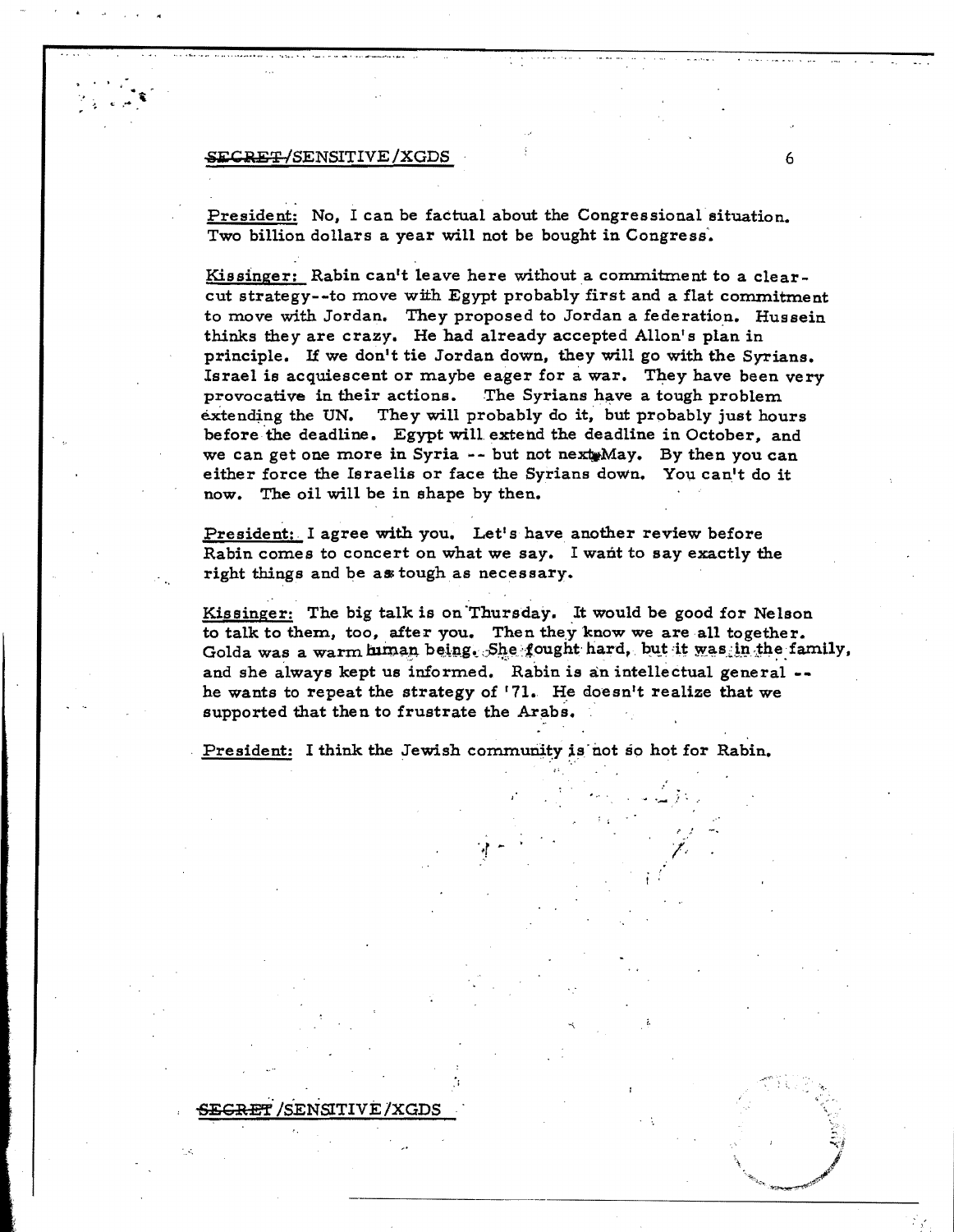#### , in the case of the set of the set of the set of the set of the set of the set of the set of the set of the s

E<del>CRE</del>T /SENSITIVE

President: No, I can be factual about the Congressional situation. Two billion dollars a year will not be bought in Congress'.

Kissinger: Rabin can't leave here without a commitment to a clearcut strategy--to move with Egypt probably first and a flat commitment to move with Jordan. They proposed to Jordan a federation. Hussein thinks they are crazy. He had already accepted Allon's plan in principle. If we don't tie Jordan down, they will go with the Syrians. Israel is acquiescent or maybe eager for a war. They have been very provocative in their actions. The Syrians have a tough problem<br>extending the UN. They will probably do it, but probably just hour They will probably do it, but probably just hours before 'the deadline. Egypt will extend the deadline in October, and we can get one more in Syria -- but not next May. By then you can either force the Israelis or face the Syrians down. You can't do it now. The oil will be in shape by then.

President: I agree with you. Let's have another review before Rabin comes to concert on what we say. I want to say exactly the right things and be as tough as necessary.

Kissinger: The big talk is on Thursday. It would be good for Nelson to talk to them, too, after you. Then they know we are all together. Golda was a warm human being. She fought hard, but it was in the family, and she always kept us informed. Rabin is an intellectual general -he wants to repeat the strategy of '71. He doesn't realize that we supported that then to frustrate the Arabs.

;'

 $\eta$  -  $\tau$  -  $\tau$  /  $\tau$  /  $\tau$  /  $\tau$ 

President: I think the Jewish community is not so hot for Rabin.

. ....